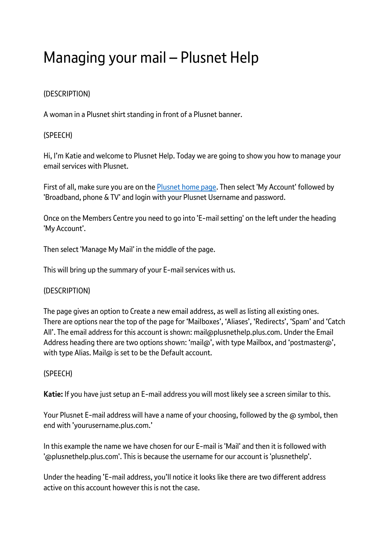# Managing your mail – Plusnet Help

## (DESCRIPTION)

A woman in a Plusnet shirt standing in front of a Plusnet banner.

## (SPEECH)

Hi, I'm Katie and welcome to Plusnet Help. Today we are going to show you how to manage your email services with Plusnet.

First of all, make sure you are on the [Plusnet home page.](https://www.plus.net/) Then select 'My Account' followed by 'Broadband, phone & TV' and login with your Plusnet Username and password.

Once on the Members Centre you need to go into 'E-mail setting' on the left under the heading 'My Account'.

Then select 'Manage My Mail' in the middle of the page.

This will bring up the summary of your E-mail services with us.

## (DESCRIPTION)

The page gives an option to Create a new email address, as well as listing all existing ones. There are options near the top of the page for 'Mailboxes', 'Aliases', 'Redirects', 'Spam' and 'Catch All'. The email address for this account is shown: mail@plusnethelp.plus.com. Under the Email Address heading there are two options shown: 'mail@', with type Mailbox, and 'postmaster@', with type Alias. Mail@ is set to be the Default account.

## (SPEECH)

**Katie:** If you have just setup an E-mail address you will most likely see a screen similar to this.

Your Plusnet E-mail address will have a name of your choosing, followed by the @ symbol, then end with 'yourusername.plus.com.'

In this example the name we have chosen for our E-mail is 'Mail' and then it is followed with '@plusnethelp.plus.com'. This is because the username for our account is 'plusnethelp'.

Under the heading 'E-mail address, you'll notice it looks like there are two different address active on this account however this is not the case.